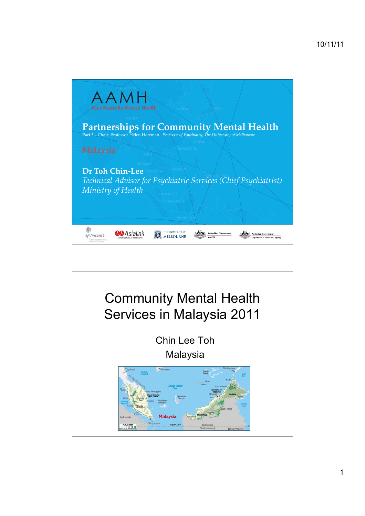

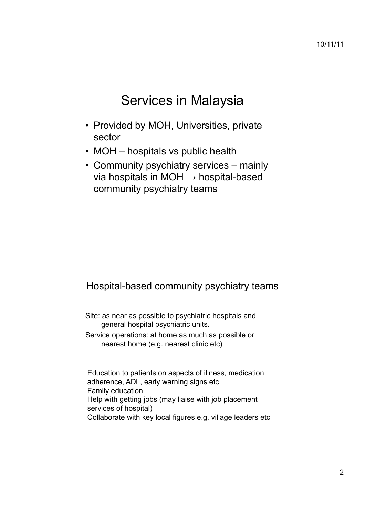

- Provided by MOH, Universities, private sector
- MOH hospitals vs public health
- Community psychiatry services mainly via hospitals in MOH  $\rightarrow$  hospital-based community psychiatry teams

#### Hospital-based community psychiatry teams

Site: as near as possible to psychiatric hospitals and general hospital psychiatric units.

Service operations: at home as much as possible or nearest home (e.g. nearest clinic etc)

Education to patients on aspects of illness, medication adherence, ADL, early warning signs etc Family education Help with getting jobs (may liaise with job placement services of hospital) Collaborate with key local figures e.g. village leaders etc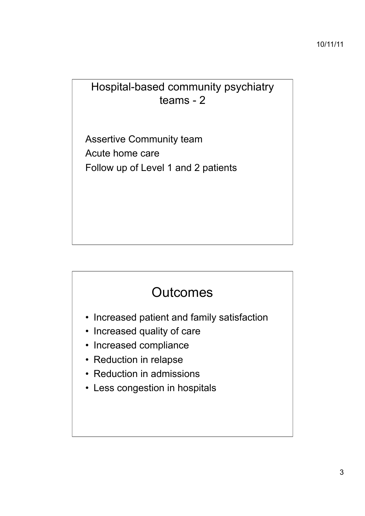#### Hospital-based community psychiatry teams - 2

Assertive Community team Acute home care Follow up of Level 1 and 2 patients

## **Outcomes**

- Increased patient and family satisfaction
- Increased quality of care
- Increased compliance
- Reduction in relapse
- Reduction in admissions
- Less congestion in hospitals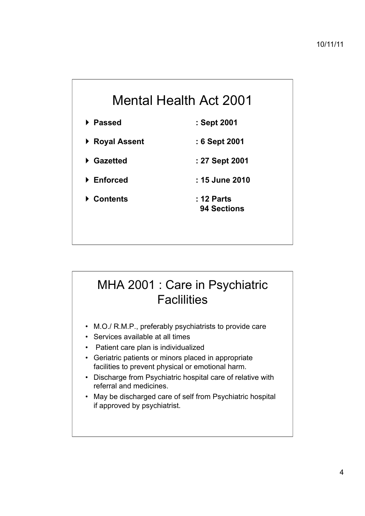# Mental Health Act 2001

- ! **Passed : Sept 2001**
- ! **Royal Assent : 6 Sept 2001**
- ! **Gazetted : 27 Sept 2001**
- ! **Enforced : 15 June 2010**
- ! **Contents : 12 Parts 94 Sections**

### MHA 2001 : Care in Psychiatric **Faclilities**

- M.O./ R.M.P., preferably psychiatrists to provide care
- Services available at all times
- Patient care plan is individualized
- Geriatric patients or minors placed in appropriate facilities to prevent physical or emotional harm.
- Discharge from Psychiatric hospital care of relative with referral and medicines.
- May be discharged care of self from Psychiatric hospital if approved by psychiatrist.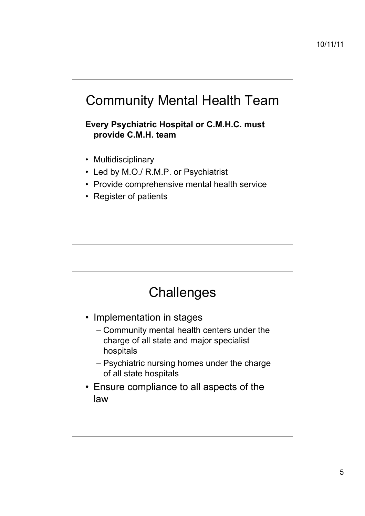